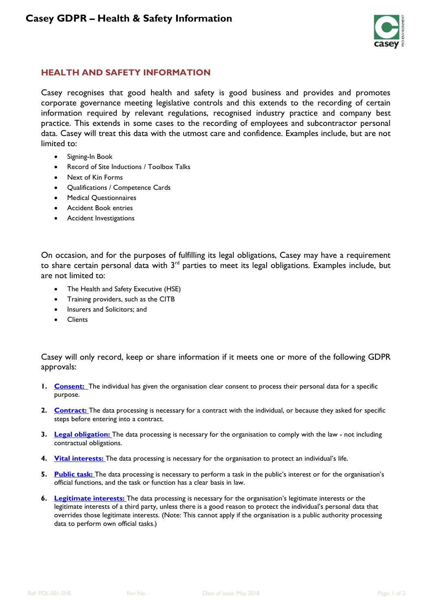

## **HEALTH AND SAFETY INFORMATION**

Casey recognises that good health and safety is good business and provides and promotes corporate governance meeting legislative controls and this extends to the recording of certain information required by relevant regulations, recognised industry practice and company best practice. This extends in some cases to the recording of employees and subcontractor personal data. Casey will treat this data with the utmost care and confidence. Examples include, but are not limited to:

- Signing-In Book
- Record of Site Inductions / Toolbox Talks
- Next of Kin Forms
- Qualifications / Competence Cards
- Medical Questionnaires
- Accident Book entries
- Accident Investigations

On occasion, and for the purposes of fulfilling its legal obligations, Casey may have a requirement to share certain personal data with 3rd parties to meet its legal obligations. Examples include, but are not limited to:

- The Health and Safety Executive (HSE)
- Training providers, such as the CITB
- Insurers and Solicitors; and
- **Clients**

Casey will only record, keep or share information if it meets one or more of the following GDPR approvals:

- **1. [Consent:](https://ico.org.uk/for-organisations/guide-to-the-general-data-protection-regulation-gdpr/lawful-basis-for-processing/consent/)** The individual has given the organisation clear consent to process their personal data for a specific purpose.
- **2. [Contract:](https://ico.org.uk/for-organisations/guide-to-the-general-data-protection-regulation-gdpr/lawful-basis-for-processing/contract/)** The data processing is necessary for a contract with the individual, or because they asked for specific steps before entering into a contract.
- **3. [Legal obligation:](https://ico.org.uk/for-organisations/guide-to-the-general-data-protection-regulation-gdpr/lawful-basis-for-processing/legal-obligation/)** The data processing is necessary for the organisation to comply with the law not including contractual obligations.
- **4. [Vital interests:](https://ico.org.uk/for-organisations/guide-to-the-general-data-protection-regulation-gdpr/lawful-basis-for-processing/vital-interests/)** The data processing is necessary for the organisation to protect an individual's life.
- **5. [Public task:](https://ico.org.uk/for-organisations/guide-to-the-general-data-protection-regulation-gdpr/lawful-basis-for-processing/special-category-data/)** The data processing is necessary to perform a task in the public's interest or for the organisation's official functions, and the task or function has a clear basis in law.
- **6. [Legitimate interests:](https://ico.org.uk/for-organisations/guide-to-the-general-data-protection-regulation-gdpr/lawful-basis-for-processing/legitimate-interests/)** The data processing is necessary for the organisation's legitimate interests or the legitimate interests of a third party, unless there is a good reason to protect the individual's personal data that overrides those legitimate interests. (Note: This cannot apply if the organisation is a public authority processing data to perform own official tasks.)